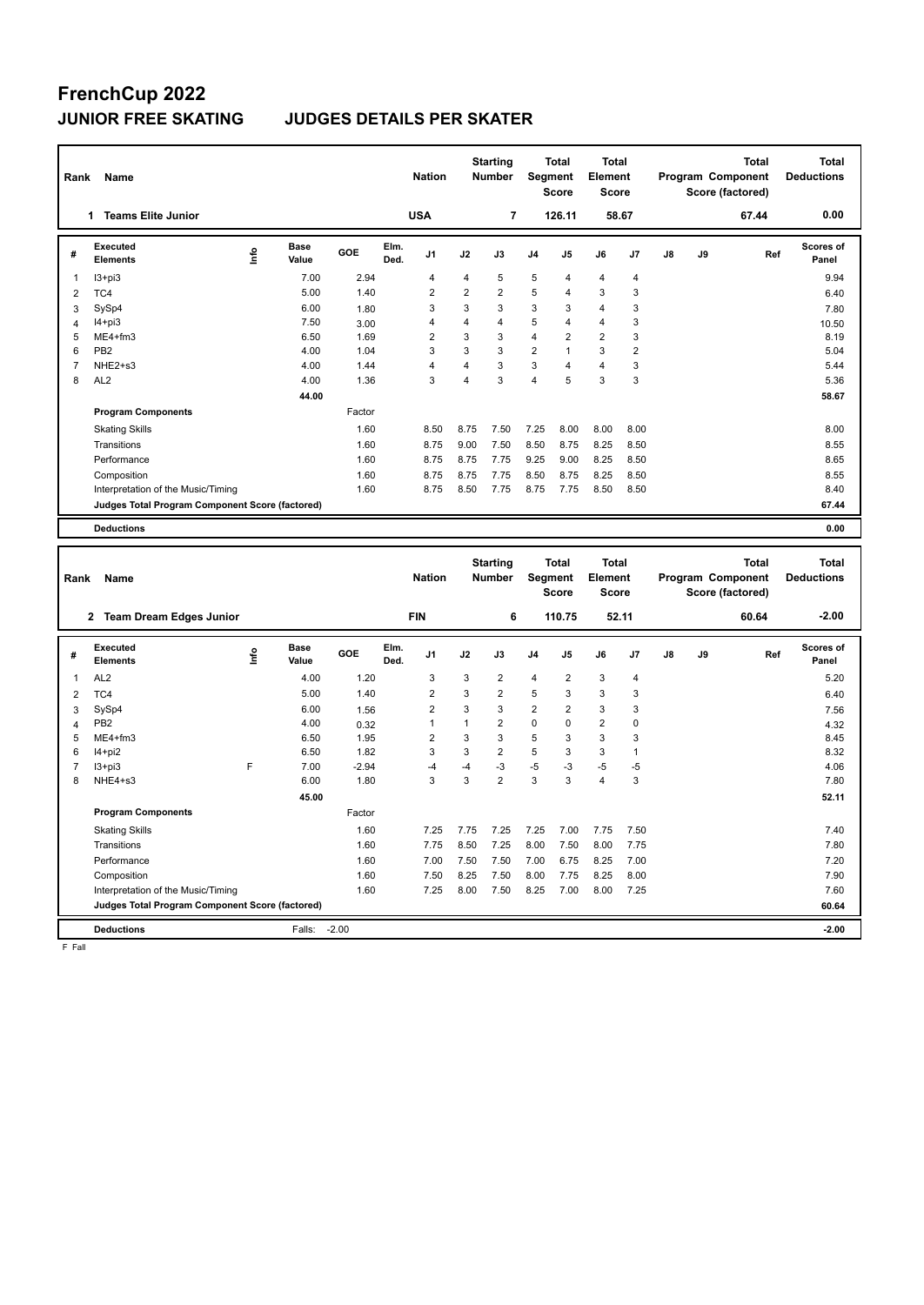### **FrenchCup 2022 JUNIOR FREE SKATING JUDGES DETAILS PER SKATER**

| Rank           | Name                                            |      |                      |         |              | <b>Nation</b>  |                | <b>Starting</b><br><b>Number</b> | <b>Segment</b> | <b>Total</b><br>Score | <b>Total</b><br>Element<br><b>Score</b> |                |    | Program Component<br>Score (factored) |       | <b>Total</b> | <b>Total</b><br><b>Deductions</b> |
|----------------|-------------------------------------------------|------|----------------------|---------|--------------|----------------|----------------|----------------------------------|----------------|-----------------------|-----------------------------------------|----------------|----|---------------------------------------|-------|--------------|-----------------------------------|
|                | <b>Teams Elite Junior</b><br>1                  |      |                      |         |              | <b>USA</b>     |                | $\overline{7}$                   |                | 126.11                |                                         | 58.67          |    |                                       | 67.44 |              | 0.00                              |
| #              | Executed<br><b>Elements</b>                     | ١nfo | Base<br>Value        | GOE     | Elm.<br>Ded. | J1             | J2             | J3                               | J4             | J5                    | J6                                      | J7             | J8 | J9                                    |       | Ref          | Scores of<br>Panel                |
| 1              | $13 + pi3$                                      |      | 7.00                 | 2.94    |              | 4              | 4              | 5                                | 5              | 4                     | 4                                       | $\overline{4}$ |    |                                       |       |              | 9.94                              |
| $\overline{2}$ | TC4                                             |      | 5.00                 | 1.40    |              | $\overline{2}$ | $\overline{2}$ | $\overline{2}$                   | 5              | 4                     | 3                                       | 3              |    |                                       |       |              | 6.40                              |
| 3              | SySp4                                           |      | 6.00                 | 1.80    |              | 3              | 3              | 3                                | 3              | 3                     | $\overline{4}$                          | 3              |    |                                       |       |              | 7.80                              |
| $\overline{4}$ | $I4 + pi3$                                      |      | 7.50                 | 3.00    |              | $\overline{4}$ | $\overline{4}$ | $\overline{4}$                   | 5              | 4                     | $\overline{4}$                          | 3              |    |                                       |       |              | 10.50                             |
| 5              | ME4+fm3                                         |      | 6.50                 | 1.69    |              | $\overline{2}$ | 3              | 3                                | $\overline{4}$ | $\overline{2}$        | $\overline{2}$                          | 3              |    |                                       |       |              | 8.19                              |
| 6              | PB <sub>2</sub>                                 |      | 4.00                 | 1.04    |              | 3              | 3              | 3                                | $\overline{2}$ | 1                     | 3                                       | $\overline{2}$ |    |                                       |       |              | 5.04                              |
| $\overline{7}$ | NHE2+s3                                         |      | 4.00                 | 1.44    |              | $\overline{4}$ | $\overline{4}$ | 3                                | 3              | 4                     | $\overline{4}$                          | 3              |    |                                       |       |              | 5.44                              |
| 8              | AL <sub>2</sub>                                 |      | 4.00                 | 1.36    |              | 3              | $\overline{4}$ | $\overline{3}$                   | $\overline{4}$ | 5                     | 3                                       | 3              |    |                                       |       |              | 5.36                              |
|                |                                                 |      | 44.00                |         |              |                |                |                                  |                |                       |                                         |                |    |                                       |       |              | 58.67                             |
|                | <b>Program Components</b>                       |      |                      | Factor  |              |                |                |                                  |                |                       |                                         |                |    |                                       |       |              |                                   |
|                | <b>Skating Skills</b>                           |      |                      | 1.60    |              | 8.50           | 8.75           | 7.50                             | 7.25           | 8.00                  | 8.00                                    | 8.00           |    |                                       |       |              | 8.00                              |
|                | Transitions                                     |      |                      | 1.60    |              | 8.75           | 9.00           | 7.50                             | 8.50           | 8.75                  | 8.25                                    | 8.50           |    |                                       |       |              | 8.55                              |
|                | Performance                                     |      |                      | 1.60    |              | 8.75           | 8.75           | 7.75                             | 9.25           | 9.00                  | 8.25                                    | 8.50           |    |                                       |       |              | 8.65                              |
|                | Composition                                     |      |                      | 1.60    |              | 8.75           | 8.75           | 7.75                             | 8.50           | 8.75                  | 8.25                                    | 8.50           |    |                                       |       |              | 8.55                              |
|                | Interpretation of the Music/Timing              |      |                      | 1.60    |              | 8.75           | 8.50           | 7.75                             | 8.75           | 7.75                  | 8.50                                    | 8.50           |    |                                       |       |              | 8.40                              |
|                | Judges Total Program Component Score (factored) |      |                      |         |              |                |                |                                  |                |                       |                                         |                |    |                                       |       |              | 67.44                             |
|                | <b>Deductions</b>                               |      |                      |         |              |                |                |                                  |                |                       |                                         |                |    |                                       |       |              | 0.00                              |
|                |                                                 |      |                      |         |              |                |                |                                  |                |                       |                                         |                |    |                                       |       |              |                                   |
|                |                                                 |      |                      |         |              |                |                |                                  |                |                       |                                         |                |    |                                       |       |              |                                   |
|                |                                                 |      |                      |         |              |                |                | <b>Starting</b>                  |                | <b>Total</b>          | <b>Total</b>                            |                |    |                                       |       | <b>Total</b> | <b>Total</b>                      |
| Rank           | Name                                            |      |                      |         |              | <b>Nation</b>  |                | <b>Number</b>                    | Segment        |                       | <b>Element</b>                          |                |    | Program Component                     |       |              | <b>Deductions</b>                 |
|                |                                                 |      |                      |         |              |                |                |                                  |                | <b>Score</b>          | <b>Score</b>                            |                |    | Score (factored)                      |       |              |                                   |
|                | 2 Team Dream Edges Junior                       |      |                      |         |              | <b>FIN</b>     |                | 6                                |                | 110.75                |                                         | 52.11          |    |                                       | 60.64 |              | $-2.00$                           |
|                |                                                 |      |                      |         |              |                |                |                                  |                |                       |                                         |                |    |                                       |       |              |                                   |
| #              | Executed<br><b>Elements</b>                     | ١πfo | <b>Base</b><br>Value | GOE     | Elm.<br>Ded. | J1             | J2             | J3                               | J4             | J5                    | J6                                      | J7             | J8 | J9                                    |       | Ref          | Scores of<br>Panel                |
| 1              | AL <sub>2</sub>                                 |      | 4.00                 | 1.20    |              | 3              | 3              | $\overline{2}$                   | 4              | $\overline{2}$        | 3                                       | 4              |    |                                       |       |              | 5.20                              |
| $\overline{2}$ | TC4                                             |      | 5.00                 | 1.40    |              | $\overline{c}$ | 3              | $\overline{2}$                   | 5              | 3                     | 3                                       | 3              |    |                                       |       |              | 6.40                              |
| 3              | SySp4                                           |      | 6.00                 | 1.56    |              | $\overline{2}$ | 3              | 3                                | $\overline{2}$ | 2                     | 3                                       | 3              |    |                                       |       |              | 7.56                              |
| $\overline{4}$ | PB <sub>2</sub>                                 |      | 4.00                 | 0.32    |              | $\mathbf{1}$   | $\mathbf{1}$   | $\overline{2}$                   | $\mathsf 0$    | $\mathbf 0$           | $\mathbf 2$                             | $\pmb{0}$      |    |                                       |       |              | 4.32                              |
| 5              | ME4+fm3                                         |      | 6.50                 | 1.95    |              | $\overline{2}$ | 3              | $\mathbf{3}$                     | 5              | 3                     | 3                                       | 3              |    |                                       |       |              | 8.45                              |
| 6              | $I4+pi2$                                        |      | 6.50                 | 1.82    |              | 3              | 3              | $\overline{2}$                   | 5              | 3                     | 3                                       | $\mathbf{1}$   |    |                                       |       |              | 8.32                              |
| $\overline{7}$ | $13 + pi3$                                      | F    | 7.00                 | $-2.94$ |              | -4             | $-4$           | $-3$                             | $-5$           | $-3$                  | $-5$                                    | $-5$           |    |                                       |       |              | 4.06                              |
| 8              | NHE4+s3                                         |      | 6.00                 | 1.80    |              | 3              | 3              | $\overline{2}$                   | 3              | 3                     | $\overline{4}$                          | 3              |    |                                       |       |              | 7.80                              |
|                |                                                 |      | 45.00                |         |              |                |                |                                  |                |                       |                                         |                |    |                                       |       |              | 52.11                             |
|                | <b>Program Components</b>                       |      |                      | Factor  |              |                |                |                                  |                |                       |                                         |                |    |                                       |       |              |                                   |
|                | <b>Skating Skills</b>                           |      |                      | 1.60    |              | 7.25           | 7.75           | 7.25                             | 7.25           | 7.00                  | 7.75                                    | 7.50           |    |                                       |       |              | 7.40                              |
|                | Transitions                                     |      |                      | 1.60    |              | 7.75           | 8.50           | 7.25                             | 8.00           | 7.50                  | 8.00                                    | 7.75           |    |                                       |       |              | 7.80                              |
|                | Performance                                     |      |                      | 1.60    |              | 7.00           | 7.50           | 7.50                             | 7.00           | 6.75                  | 8.25                                    | 7.00           |    |                                       |       |              | 7.20                              |
|                | Composition                                     |      |                      | 1.60    |              | 7.50           | 8.25           | 7.50                             | 8.00           | 7.75                  | 8.25                                    | 8.00           |    |                                       |       |              | 7.90                              |
|                | Interpretation of the Music/Timing              |      |                      | 1.60    |              | 7.25           | 8.00           | 7.50                             | 8.25           | 7.00                  | 8.00                                    | 7.25           |    |                                       |       |              | 7.60                              |
|                | Judges Total Program Component Score (factored) |      |                      |         |              |                |                |                                  |                |                       |                                         |                |    |                                       |       |              | 60.64                             |
|                | <b>Deductions</b>                               |      | Falls:               | $-2.00$ |              |                |                |                                  |                |                       |                                         |                |    |                                       |       |              | $-2.00$                           |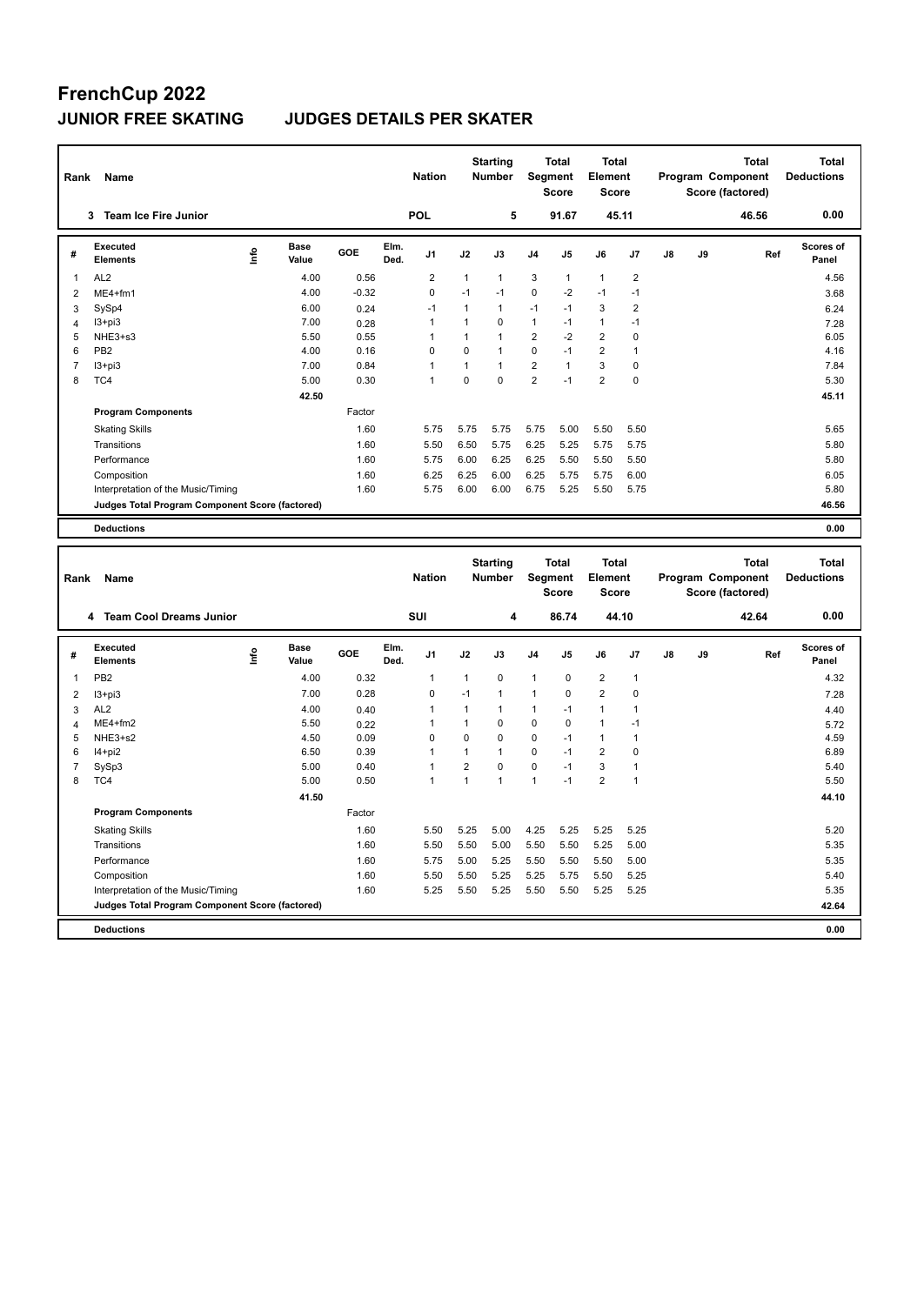# **FrenchCup 2022**

### **JUNIOR FREE SKATING JUDGES DETAILS PER SKATER**

| Rank                | Name                                            |      |                      |              |              | <b>Nation</b>  |                | <b>Starting</b><br><b>Number</b> |                | Total<br>Segment<br><b>Score</b> | <b>Total</b><br>Element<br><b>Score</b> |                |    |    | Program Component<br>Score (factored) | <b>Total</b> | <b>Total</b><br><b>Deductions</b> |
|---------------------|-------------------------------------------------|------|----------------------|--------------|--------------|----------------|----------------|----------------------------------|----------------|----------------------------------|-----------------------------------------|----------------|----|----|---------------------------------------|--------------|-----------------------------------|
|                     | 3 Team Ice Fire Junior                          |      |                      |              |              | <b>POL</b>     |                | 5                                |                | 91.67                            |                                         | 45.11          |    |    | 46.56                                 |              | 0.00                              |
| #                   | <b>Executed</b><br><b>Elements</b>              | info | <b>Base</b><br>Value | GOE          | Elm.<br>Ded. | J1             | J2             | J3                               | J4             | J5                               | J6                                      | J7             | J8 | J9 |                                       | Ref          | <b>Scores of</b><br>Panel         |
| $\mathbf{1}$        | AL <sub>2</sub>                                 |      | 4.00                 | 0.56         |              | $\overline{2}$ | $\mathbf{1}$   | $\mathbf{1}$                     | 3              | $\mathbf{1}$                     | $\mathbf{1}$                            | $\overline{2}$ |    |    |                                       |              | 4.56                              |
| $\overline{2}$      | ME4+fm1                                         |      | 4.00                 | $-0.32$      |              | 0              | $-1$           | $-1$                             | $\mathbf 0$    | $-2$                             | $-1$                                    | $-1$           |    |    |                                       |              | 3.68                              |
| 3                   | SySp4                                           |      | 6.00                 | 0.24         |              | $-1$           | $\mathbf{1}$   | $\mathbf{1}$                     | $-1$           | $-1$                             | 3                                       | $\overline{2}$ |    |    |                                       |              | 6.24                              |
| $\overline{4}$      | $13 + pi3$                                      |      | 7.00                 | 0.28         |              | 1              | $\mathbf{1}$   | $\mathbf 0$                      | 1              | $-1$                             | $\mathbf{1}$                            | $-1$           |    |    |                                       |              | 7.28                              |
| 5                   | NHE3+s3                                         |      | 5.50                 | 0.55         |              | 1              | $\mathbf{1}$   | $\mathbf{1}$                     | $\overline{2}$ | $-2$                             | $\overline{2}$                          | $\mathbf 0$    |    |    |                                       |              | 6.05                              |
| 6                   | PB <sub>2</sub>                                 |      | 4.00                 | 0.16         |              | $\mathbf 0$    | $\mathbf 0$    | $\mathbf{1}$                     | 0              | $-1$                             | $\overline{2}$                          | $\mathbf{1}$   |    |    |                                       |              | 4.16                              |
| $\overline{7}$      | $13 + pi3$                                      |      | 7.00                 | 0.84         |              | $\mathbf{1}$   | $\mathbf{1}$   | $\mathbf{1}$                     | $\overline{2}$ | $\mathbf{1}$                     | 3                                       | $\mathbf 0$    |    |    |                                       |              | 7.84                              |
| 8                   | TC4                                             |      | 5.00                 | 0.30         |              | 1              | 0              | $\mathbf 0$                      | $\overline{2}$ | $-1$                             | $\overline{2}$                          | $\mathbf 0$    |    |    |                                       |              | 5.30                              |
|                     |                                                 |      | 42.50                |              |              |                |                |                                  |                |                                  |                                         |                |    |    |                                       |              | 45.11                             |
|                     | <b>Program Components</b>                       |      |                      | Factor       |              |                |                |                                  |                |                                  |                                         |                |    |    |                                       |              |                                   |
|                     | <b>Skating Skills</b>                           |      |                      | 1.60         |              | 5.75           | 5.75           | 5.75                             | 5.75           | 5.00                             | 5.50                                    | 5.50           |    |    |                                       |              | 5.65                              |
|                     | Transitions                                     |      |                      | 1.60         |              | 5.50           | 6.50           | 5.75                             | 6.25           | 5.25                             | 5.75                                    | 5.75           |    |    |                                       |              | 5.80                              |
|                     | Performance                                     |      |                      | 1.60         |              | 5.75           | 6.00           | 6.25                             | 6.25           | 5.50                             | 5.50                                    | 5.50           |    |    |                                       |              | 5.80                              |
|                     | Composition                                     |      |                      | 1.60         |              | 6.25           | 6.25           | 6.00                             | 6.25           | 5.75                             | 5.75                                    | 6.00           |    |    |                                       |              | 6.05                              |
|                     |                                                 |      |                      | 1.60         |              | 5.75           | 6.00           | 6.00                             | 6.75           | 5.25                             | 5.50                                    | 5.75           |    |    |                                       |              | 5.80                              |
|                     | Interpretation of the Music/Timing              |      |                      |              |              |                |                |                                  |                |                                  |                                         |                |    |    |                                       |              | 46.56                             |
|                     | Judges Total Program Component Score (factored) |      |                      |              |              |                |                |                                  |                |                                  |                                         |                |    |    |                                       |              |                                   |
|                     | <b>Deductions</b>                               |      |                      |              |              |                |                |                                  |                |                                  |                                         |                |    |    |                                       |              | 0.00                              |
|                     |                                                 |      |                      |              |              |                |                |                                  |                |                                  |                                         |                |    |    |                                       |              |                                   |
|                     |                                                 |      |                      |              |              |                |                |                                  |                |                                  |                                         |                |    |    |                                       |              |                                   |
|                     |                                                 |      |                      |              |              |                |                | <b>Starting</b>                  |                | Total                            | Total                                   |                |    |    |                                       | <b>Total</b> | <b>Total</b>                      |
| Rank                | Name                                            |      |                      |              |              | <b>Nation</b>  |                | <b>Number</b>                    |                | Segment                          | Element                                 |                |    |    | Program Component                     |              | <b>Deductions</b>                 |
|                     |                                                 |      |                      |              |              |                |                |                                  |                | <b>Score</b>                     | <b>Score</b>                            |                |    |    | Score (factored)                      |              |                                   |
|                     | 4 Team Cool Dreams Junior                       |      |                      |              |              | SUI            |                | 4                                |                | 86.74                            |                                         | 44.10          |    |    | 42.64                                 |              | 0.00                              |
|                     | Executed                                        |      | <b>Base</b>          |              | Elm.         |                |                |                                  |                |                                  |                                         |                |    |    |                                       |              | <b>Scores of</b>                  |
| #                   | <b>Elements</b>                                 | Info | Value                | GOE          | Ded.         | J <sub>1</sub> | J2             | J3                               | J4             | J5                               | J6                                      | J7             | J8 | J9 |                                       | Ref          | Panel                             |
| 1                   | PB <sub>2</sub>                                 |      | 4.00                 | 0.32         |              | 1              | $\mathbf{1}$   | 0                                | 1              | $\pmb{0}$                        | $\boldsymbol{2}$                        | $\overline{1}$ |    |    |                                       |              | 4.32                              |
|                     |                                                 |      | 7.00                 | 0.28         |              | $\mathbf 0$    | $-1$           | $\mathbf{1}$                     | 1              | $\mathbf 0$                      | $\overline{2}$                          | $\mathbf 0$    |    |    |                                       |              |                                   |
| $\overline{2}$      | $13 + pi3$<br>AL <sub>2</sub>                   |      |                      |              |              | 1              | $\mathbf{1}$   | $\mathbf{1}$                     | $\mathbf{1}$   | $-1$                             | $\mathbf{1}$                            | $\mathbf{1}$   |    |    |                                       |              | 7.28                              |
| 3                   | ME4+fm2                                         |      | 4.00<br>5.50         | 0.40         |              | 1              | $\mathbf{1}$   | $\mathbf 0$                      | $\mathbf 0$    | $\mathbf 0$                      | $\mathbf{1}$                            | $-1$           |    |    |                                       |              | 4.40                              |
| $\overline{4}$<br>5 | NHE3+s2                                         |      | 4.50                 | 0.22<br>0.09 |              | 0              | 0              | $\mathbf 0$                      | 0              | $-1$                             | $\mathbf{1}$                            | $\mathbf{1}$   |    |    |                                       |              | 5.72<br>4.59                      |
|                     |                                                 |      |                      |              |              | 1              | $\mathbf{1}$   | $\mathbf{1}$                     | $\mathbf 0$    | $-1$                             |                                         | $\mathbf 0$    |    |    |                                       |              |                                   |
| 6<br>$\overline{7}$ | I4+pi2<br>SySp3                                 |      | 6.50<br>5.00         | 0.39<br>0.40 |              | 1              | $\overline{2}$ | $\mathbf 0$                      | $\mathbf 0$    | $-1$                             | $\mathbf 2$<br>$\mathsf 3$              | $\mathbf{1}$   |    |    |                                       |              | 6.89<br>5.40                      |
| 8                   | TC4                                             |      | 5.00                 | 0.50         |              | $\mathbf{1}$   | $\mathbf{1}$   | $\overline{1}$                   | $\mathbf{1}$   | $-1$                             | $\overline{2}$                          | $\mathbf{1}$   |    |    |                                       |              | 5.50                              |
|                     |                                                 |      | 41.50                |              |              |                |                |                                  |                |                                  |                                         |                |    |    |                                       |              |                                   |
|                     | <b>Program Components</b>                       |      |                      | Factor       |              |                |                |                                  |                |                                  |                                         |                |    |    |                                       |              | 44.10                             |
|                     |                                                 |      |                      |              |              |                |                |                                  |                |                                  |                                         |                |    |    |                                       |              |                                   |
|                     | <b>Skating Skills</b>                           |      |                      | 1.60         |              | 5.50           | 5.25           | 5.00                             | 4.25           | 5.25                             | 5.25                                    | 5.25           |    |    |                                       |              | 5.20                              |
|                     | Transitions                                     |      |                      | 1.60         |              | 5.50           | 5.50           | 5.00                             | 5.50           | 5.50                             | 5.25                                    | 5.00           |    |    |                                       |              | 5.35                              |
|                     | Performance                                     |      |                      | 1.60         |              | 5.75           | 5.00           | 5.25                             | 5.50           | 5.50                             | 5.50                                    | 5.00           |    |    |                                       |              | 5.35                              |
|                     | Composition                                     |      |                      | 1.60         |              | 5.50           | 5.50           | 5.25                             | 5.25           | 5.75                             | 5.50                                    | 5.25           |    |    |                                       |              | 5.40                              |
|                     | Interpretation of the Music/Timing              |      |                      | 1.60         |              | 5.25           | 5.50           | 5.25                             | 5.50           | 5.50                             | 5.25                                    | 5.25           |    |    |                                       |              | 5.35                              |
|                     | Judges Total Program Component Score (factored) |      |                      |              |              |                |                |                                  |                |                                  |                                         |                |    |    |                                       |              | 42.64                             |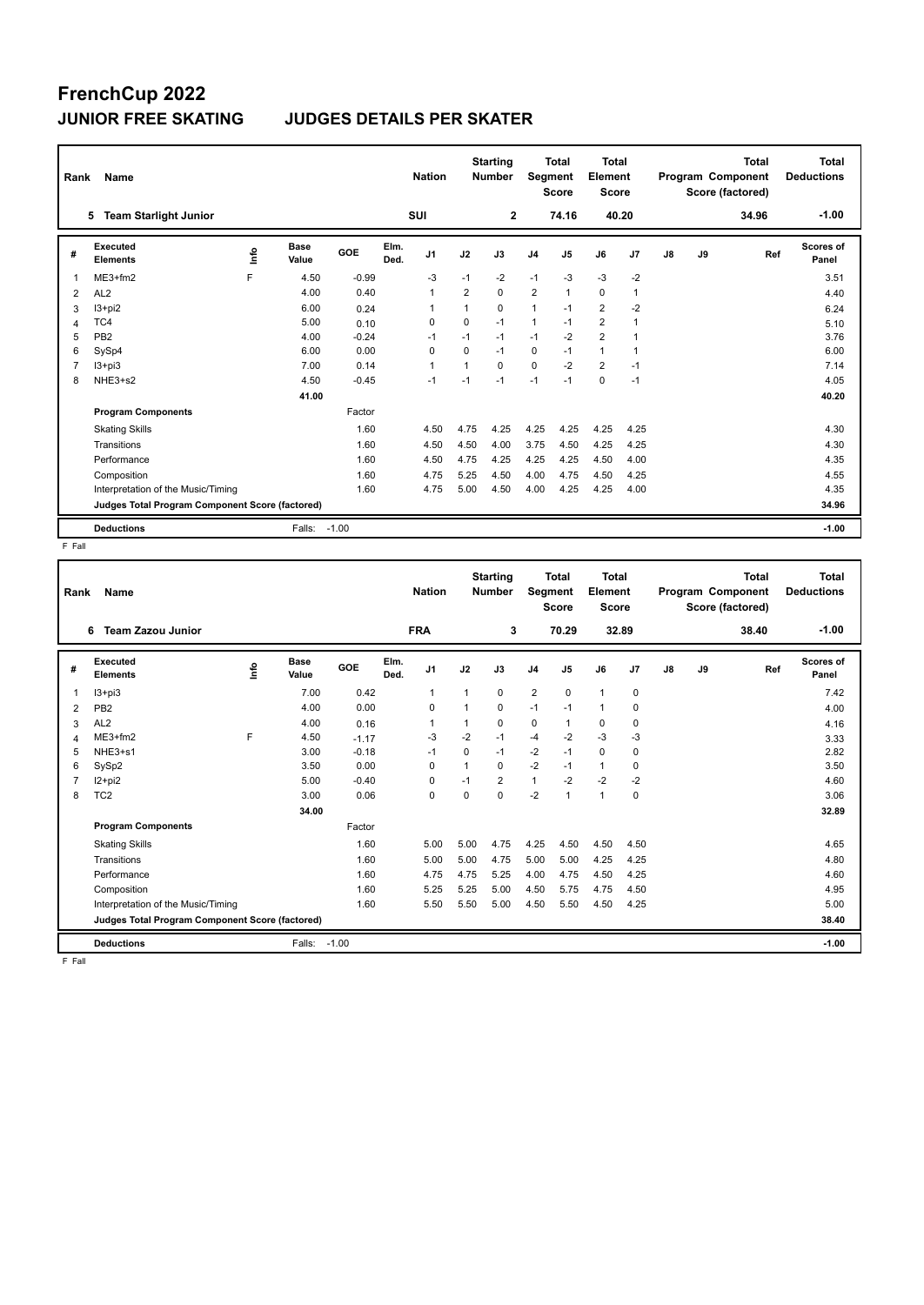# **FrenchCup 2022**

#### **JUNIOR FREE SKATING JUDGES DETAILS PER SKATER**

| Rank           | Name                                            |   |                      |         |              | <b>Nation</b>  |                | <b>Starting</b><br><b>Number</b> | <b>Segment</b> | <b>Total</b><br><b>Score</b> | <b>Total</b><br>Element<br><b>Score</b> |              |    |    | <b>Total</b><br>Program Component<br>Score (factored) | Total<br><b>Deductions</b> |
|----------------|-------------------------------------------------|---|----------------------|---------|--------------|----------------|----------------|----------------------------------|----------------|------------------------------|-----------------------------------------|--------------|----|----|-------------------------------------------------------|----------------------------|
|                | <b>Team Starlight Junior</b><br>5               |   |                      |         |              | <b>SUI</b>     |                | $\overline{2}$                   |                | 74.16                        | 40.20                                   |              |    |    | 34.96                                                 | $-1.00$                    |
| #              | Executed<br><b>Elements</b>                     | ۴ | <b>Base</b><br>Value | GOE     | Elm.<br>Ded. | J <sub>1</sub> | J2             | J3                               | J <sub>4</sub> | J5                           | J6                                      | J7           | J8 | J9 | Ref                                                   | <b>Scores of</b><br>Panel  |
| $\overline{1}$ | $ME3+fm2$                                       | F | 4.50                 | $-0.99$ |              | $-3$           | $-1$           | $-2$                             | $-1$           | $-3$                         | $-3$                                    | $-2$         |    |    |                                                       | 3.51                       |
| 2              | AL <sub>2</sub>                                 |   | 4.00                 | 0.40    |              | $\mathbf{1}$   | $\overline{2}$ | 0                                | $\overline{2}$ | 1                            | $\mathbf 0$                             | $\mathbf{1}$ |    |    |                                                       | 4.40                       |
| 3              | $13 + pi2$                                      |   | 6.00                 | 0.24    |              |                |                | $\Omega$                         | $\mathbf{1}$   | $-1$                         | $\overline{2}$                          | $-2$         |    |    |                                                       | 6.24                       |
| 4              | TC4                                             |   | 5.00                 | 0.10    |              | 0              | $\Omega$       | $-1$                             | $\mathbf{1}$   | $-1$                         | $\overline{2}$                          | 1            |    |    |                                                       | 5.10                       |
| 5              | PB <sub>2</sub>                                 |   | 4.00                 | $-0.24$ |              | $-1$           | $-1$           | $-1$                             | $-1$           | $-2$                         | $\overline{2}$                          | 1            |    |    |                                                       | 3.76                       |
| 6              | SySp4                                           |   | 6.00                 | 0.00    |              | $\Omega$       | $\Omega$       | $-1$                             | 0              | $-1$                         | $\mathbf{1}$                            | -1           |    |    |                                                       | 6.00                       |
| $\overline{7}$ | $13 + pi3$                                      |   | 7.00                 | 0.14    |              | $\mathbf{1}$   | $\overline{ }$ | 0                                | $\mathbf 0$    | $-2$                         | $\overline{2}$                          | $-1$         |    |    |                                                       | 7.14                       |
| 8              | NHE3+s2                                         |   | 4.50                 | $-0.45$ |              | $-1$           | $-1$           | $-1$                             | $-1$           | $-1$                         | 0                                       | $-1$         |    |    |                                                       | 4.05                       |
|                |                                                 |   | 41.00                |         |              |                |                |                                  |                |                              |                                         |              |    |    |                                                       | 40.20                      |
|                | <b>Program Components</b>                       |   |                      | Factor  |              |                |                |                                  |                |                              |                                         |              |    |    |                                                       |                            |
|                | <b>Skating Skills</b>                           |   |                      | 1.60    |              | 4.50           | 4.75           | 4.25                             | 4.25           | 4.25                         | 4.25                                    | 4.25         |    |    |                                                       | 4.30                       |
|                | Transitions                                     |   |                      | 1.60    |              | 4.50           | 4.50           | 4.00                             | 3.75           | 4.50                         | 4.25                                    | 4.25         |    |    |                                                       | 4.30                       |
|                | Performance                                     |   |                      | 1.60    |              | 4.50           | 4.75           | 4.25                             | 4.25           | 4.25                         | 4.50                                    | 4.00         |    |    |                                                       | 4.35                       |
|                | Composition                                     |   |                      | 1.60    |              | 4.75           | 5.25           | 4.50                             | 4.00           | 4.75                         | 4.50                                    | 4.25         |    |    |                                                       | 4.55                       |
|                | Interpretation of the Music/Timing              |   |                      | 1.60    |              | 4.75           | 5.00           | 4.50                             | 4.00           | 4.25                         | 4.25                                    | 4.00         |    |    |                                                       | 4.35                       |
|                | Judges Total Program Component Score (factored) |   |                      |         |              |                |                |                                  |                |                              |                                         |              |    |    |                                                       | 34.96                      |
|                | <b>Deductions</b>                               |   | Falls:               | $-1.00$ |              |                |                |                                  |                |                              |                                         |              |    |    |                                                       | $-1.00$                    |

 $F$  Fall

| Rank | <b>Name</b>                                     |             |               |         |              | <b>Nation</b>  |                | <b>Starting</b><br><b>Number</b> | Segment        | <b>Total</b><br><b>Score</b> | <b>Total</b><br>Element<br><b>Score</b> |             |    |    | <b>Total</b><br>Program Component<br>Score (factored) | <b>Total</b><br><b>Deductions</b> |
|------|-------------------------------------------------|-------------|---------------|---------|--------------|----------------|----------------|----------------------------------|----------------|------------------------------|-----------------------------------------|-------------|----|----|-------------------------------------------------------|-----------------------------------|
|      | <b>Team Zazou Junior</b><br>6                   |             |               |         |              | <b>FRA</b>     |                | 3                                |                | 70.29                        | 32.89                                   |             |    |    | 38.40                                                 | $-1.00$                           |
| #    | Executed<br><b>Elements</b>                     | <b>Info</b> | Base<br>Value | GOE     | Elm.<br>Ded. | J <sub>1</sub> | J2             | J3                               | J <sub>4</sub> | J5                           | J6                                      | J7          | J8 | J9 | Ref                                                   | Scores of<br>Panel                |
| 1    | $13 + pi3$                                      |             | 7.00          | 0.42    |              | $\mathbf{1}$   | 1              | 0                                | $\overline{2}$ | $\mathbf 0$                  | $\mathbf{1}$                            | $\mathbf 0$ |    |    |                                                       | 7.42                              |
| 2    | PB <sub>2</sub>                                 |             | 4.00          | 0.00    |              | $\Omega$       | $\overline{1}$ | $\Omega$                         | $-1$           | $-1$                         | $\mathbf{1}$                            | $\Omega$    |    |    |                                                       | 4.00                              |
| 3    | AL <sub>2</sub>                                 |             | 4.00          | 0.16    |              |                | 1              | 0                                | 0              |                              | 0                                       | $\mathbf 0$ |    |    |                                                       | 4.16                              |
| 4    | $ME3+fm2$                                       | F           | 4.50          | $-1.17$ |              | $-3$           | $-2$           | $-1$                             | $-4$           | $-2$                         | $-3$                                    | $-3$        |    |    |                                                       | 3.33                              |
| 5    | NHE3+s1                                         |             | 3.00          | $-0.18$ |              | $-1$           | $\Omega$       | $-1$                             | $-2$           | $-1$                         | 0                                       | $\mathbf 0$ |    |    |                                                       | 2.82                              |
| 6    | SySp2                                           |             | 3.50          | 0.00    |              | $\Omega$       | 1              | $\Omega$                         | $-2$           | $-1$                         | $\mathbf{1}$                            | 0           |    |    |                                                       | 3.50                              |
|      | I2+pi2                                          |             | 5.00          | $-0.40$ |              | $\Omega$       | $-1$           | $\overline{2}$                   | $\mathbf{1}$   | $-2$                         | $-2$                                    | $-2$        |    |    |                                                       | 4.60                              |
| 8    | TC <sub>2</sub>                                 |             | 3.00          | 0.06    |              | 0              | 0              | 0                                | $-2$           | 1                            | $\mathbf{1}$                            | $\mathbf 0$ |    |    |                                                       | 3.06                              |
|      |                                                 |             | 34.00         |         |              |                |                |                                  |                |                              |                                         |             |    |    |                                                       | 32.89                             |
|      | <b>Program Components</b>                       |             |               | Factor  |              |                |                |                                  |                |                              |                                         |             |    |    |                                                       |                                   |
|      | <b>Skating Skills</b>                           |             |               | 1.60    |              | 5.00           | 5.00           | 4.75                             | 4.25           | 4.50                         | 4.50                                    | 4.50        |    |    |                                                       | 4.65                              |
|      | Transitions                                     |             |               | 1.60    |              | 5.00           | 5.00           | 4.75                             | 5.00           | 5.00                         | 4.25                                    | 4.25        |    |    |                                                       | 4.80                              |
|      | Performance                                     |             |               | 1.60    |              | 4.75           | 4.75           | 5.25                             | 4.00           | 4.75                         | 4.50                                    | 4.25        |    |    |                                                       | 4.60                              |
|      | Composition                                     |             |               | 1.60    |              | 5.25           | 5.25           | 5.00                             | 4.50           | 5.75                         | 4.75                                    | 4.50        |    |    |                                                       | 4.95                              |
|      | Interpretation of the Music/Timing              |             |               | 1.60    |              | 5.50           | 5.50           | 5.00                             | 4.50           | 5.50                         | 4.50                                    | 4.25        |    |    |                                                       | 5.00                              |
|      | Judges Total Program Component Score (factored) |             |               |         |              |                |                |                                  |                |                              |                                         |             |    |    |                                                       | 38.40                             |
|      | <b>Deductions</b>                               |             | Falls:        | $-1.00$ |              |                |                |                                  |                |                              |                                         |             |    |    |                                                       | $-1.00$                           |

F Fall